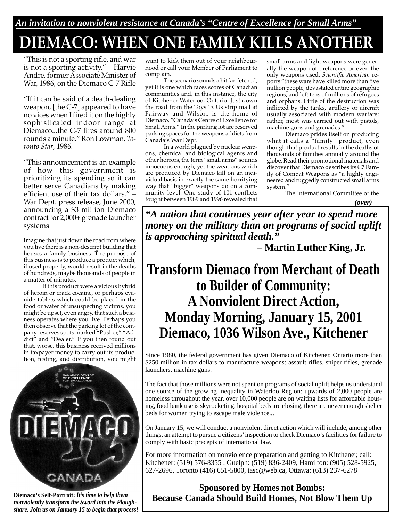# **DIEMACO: WHEN ONE FAMILY KILLS ANOTHER**

"This is not a sporting rifle, and war is not a sporting activity." – Harvie Andre, former Associate Minister of War, 1986, on the Diemaco C-7 Rifle

"If it can be said of a death-dealing weapon, [the C-7] appeared to have no vices when I fired it on the highly sophisticated indoor range at Diemaco...the C-7 fires around 800 rounds a minute." Ron Lowman, *Toronto Star*, 1986.

"This announcement is an example of how this government is prioritizing its spending so it can better serve Canadians by making efficient use of their tax dollars." – War Dept. press release, June 2000, announcing a \$3 million Diemaco contract for 2,000+ grenade launcher systems

Imagine that just down the road from where you live there is a non-descript building that houses a family business. The purpose of this business is to produce a product which, if used properly, would result in the deaths of hundreds, maybe thousands of people in a matter of minutes.

If this product were a vicious hybrid of heroin or crack cocaine, or perhaps cyanide tablets which could be placed in the food or water of unsuspecting victims, you might be upset, even angry, that such a business operates where you live. Perhaps you then observe that the parking lot of the company reserves spots marked "Pusher," "Addict" and "Dealer." If you then found out that, worse, this business received millions in taxpayer money to carry out its production, testing, and distribution, you might



**Diemaco's Self-Portrait:** *It's time to help them nonviolently transform the Sword into the Ploughshare. Join us on January 15 to begin that process!*

want to kick them out of your neighbourhood or call your Member of Parliament to complain.

The scenario sounds a bit far-fetched, yet it is one which faces scores of Canadian communities and, in this instance, the city of Kitchener-Waterloo, Ontario. Just down the road from the Toys 'R Us strip mall at Fairway and Wilson, is the home of Diemaco, "Canada's Centre of Excellence for Small Arms." In the parking lot are reserved parking spaces for the weapons addicts from Canada's War Dept.

In a world plagued by nuclear weapons, chemical and biological agents and other horrors, the term "small arms" sounds innocuous enough, yet the weapons which are produced by Diemaco kill on an individual basis in exactly the same horrifying way that "bigger" weapons do on a community level. One study of 101 conflicts fought between 1989 and 1996 revealed that

small arms and light weapons were generally the weapon of preference or even the only weapons used. *Scientific American* reports "these wars have killed more than five million people, devastated entire geographic regions, and left tens of millions of refugees and orphans. Little of the destruction was inflicted by the tanks, artillery or aircraft usually associated with modern warfare; rather, most was carried out with pistols, machine guns and grenades."

Diemaco prides itself on producing what it calls a "family" product, even though that product results in the deaths of thousands of families annually around the globe. Read their promotional materials and discover that Diemaco describes its C7 Family of Combat Weapons as "a highly engineered and ruggedly constructed small arms system."

The International Committee of the *(over)*

*"A nation that continues year after year to spend more money on the military than on programs of social uplift is approaching spiritual death."*

**– Martin Luther King, Jr.**

## **Transform Diemaco from Merchant of Death to Builder of Community: A Nonviolent Direct Action, Monday Morning, January 15, 2001 Diemaco, 1036 Wilson Ave., Kitchener**

Since 1980, the federal government has given Diemaco of Kitchener, Ontario more than \$250 million in tax dollars to manufacture weapons: assault rifles, sniper rifles, grenade launchers, machine guns.

The fact that those millions were not spent on programs of social uplift helps us understand one source of the growing inequality in Waterloo Region: upwards of 2,000 people are homeless throughout the year, over 10,000 people are on waiting lists for affordable housing, food bank use is skyrocketing, hospital beds are closing, there are never enough shelter beds for women trying to escape male violence...

On January 15, we will conduct a nonviolent direct action which will include, among other things, an attempt to pursue a citizens' inspection to check Diemaco's facilities for failure to comply with basic precepts of international law.

For more information on nonviolence preparation and getting to Kitchener, call: Kitchener: (519) 576-8355 , Guelph: (519) 836-2409, Hamilton: (905) 528-5925, 627-2696, Toronto (416) 651-5800, tasc@web.ca, Ottawa: (613) 237-6278

## **Sponsored by Homes not Bombs: Because Canada Should Build Homes, Not Blow Them Up**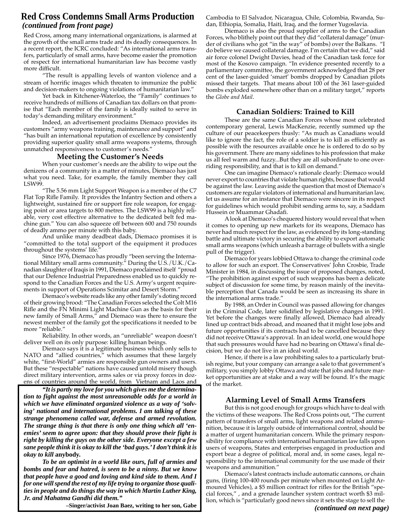### **Red Cross Condemns Small Arms Production** *(continued from front page)*

Red Cross, among many international organizations, is alarmed at the growth of the small arms trade and its deadly consequences. In a recent report, the ICRC concluded: "As international arms transfers, particularly of small arms, have become easier the promotion of respect for international humanitarian law has become vastly more difficult.

"The result is appalling levels of wanton violence and a stream of horrific images which threaten to immunize the public and decision-makers to ongoing violations of humanitarian law."

Yet back in Kitchener-Waterloo, the "Family" continues to receive hundreds of millions of Canadian tax dollars on that promise that "Each member of the family is ideally suited to serve in today's demanding military environment."

Indeed, an advertisement proclaims Diemaco provides its customers "army weapons training, maintenance and support" and "has built an international reputation of excellence by consistently providing superior quality small arms weapons systems, through unmatched responsiveness to customer's needs."

#### **Meeting the Customer's Needs**

When your customer's needs are the ability to wipe out the denizens of a community in a matter of minutes, Diemaco has just what you need. Take, for example, the family member they call LSW99.

"The 5.56 mm Light Support Weapon is a member of the C7 Flat Top Rifle Family. It provides the Infantry Section and others a lightweight, sustained fire or support fire role weapon, for engaging point or area targets to 800 metres. The LSW99 is a highly reliable, very cost effective alternative to the dedicated belt fed machine gun." You can also squeeze off between 600 and 750 rounds of deadly ammo per minute with this baby.

And unlike many deadbeat dads, Diemaco promises it is "committed to the total support of the equipment it produces throughout the systems' life."

Since 1976, Diemaco has proudly "been serving the International Military small arms community." During the U.S./U.K./Canadian slaughter of Iraqis in 1991, Diemaco proclaimed itself "proud that our Defence Industrial Preparedness enabled us to quickly respond to the Canadian Forces and the U.S. Army's urgent requirements in support of Operations Scimitar and Desert Storm."

Diemaco's website reads like any other family's doting record of their growing brood: "The Canadian Forces selected the Colt M16 Rifle and the FN Minimi Light Machine Gun as the basis for their new family of Small Arms," and Diemaco was there to ensure the newest member of the family got the specifications it needed to be more "reliable."

Reliability. In other words, an "unreliable" weapon doesn't deliver well on its only purpose: killing human beings.

Diemaco says it is a legitimate business which only sells to NATO and "allied countries," which assumes that these largely white, "first-World" armies are responsible gun owners and users. But these "respectable" nations have caused untold misery though direct military intervention, arms sales or via proxy forces in dozens of countries around the world, from Vietnam and Laos and

*"It is partly my love for you which gives me the determination to fight against the most unreasonable odds for a world in which we have eliminated organized violence as a way of 'solving' national and international problems. I am talking of these strange phenomena called war, defense and armed revolution. The strange thing is that there is only one thing which all 'enemies' seem to agree upon: that they should prove their fight is right by killing the guys on the other side. Everyone except a few sane people think it is okay to kill the 'bad guys.' I don't think it is okay to kill* **anybody.**

*To be an optimist in a world like ours, full of armies and bombs and fear and hatred, is seen to be a ninny. But we know that people have a good and loving and kind side to them. And I for one will spend the rest of my life trying to organize those qualities in people and do things the way in which Martin Luther King, Jr. and Mahatma Gandhi did them."*

**–Singer/activist Joan Baez, writing to her son, Gabe**

Cambodia to El Salvador, Nicaragua, Chile, Colombia, Rwanda, Sudan, Ethiopia, Somalia, Haiti, Iraq, and the former Yugoslavia.

Diemaco is also the proud supplier of arms to the Canadian Forces, who blithely point out that they did "collateral damage" (murder of civilians who got "in the way" of bombs) over the Balkans. "I do believe we caused collateral damage. I'm certain that we did," said air force colonel Dwight Davies, head of the Canadian task force for most of the Kosovo campaign. "In evidence presented recently to a parliamentary committee, the government acknowledged that 28 per cent of the laser-guided 'smart' bombs dropped by Canadian pilots missed their targets. That means about 100 of the 361 laser-guided bombs exploded somewhere other than on a military target," reports the *Globe and Mail*.

#### **Canadian Soldiers: Trained to Kill**

These are the same Canadian Forces whose most celebrated contemporary general, Lewis MacKenzie, recently summed up the culture of our peacekeepers thusly: "As much as Canadians would like to ignore the fact, the role of a soldier is to kill as efficiently as possible with the resources available once he is ordered to do so by his government. There are many sidelines to his profession that make us all feel warm and fuzzy...But they are all subordinate to one overriding responsibility, and that is to kill on demand."

One can imagine Diemaco's rationale clearly: Diemaco would never export to countries that violate human rights, because that would be against the law. Leaving aside the question that most of Diemaco's customers are regular violators of international and humanitarian law, let us assume for an instance that Diemaco were sincere in its respect for guidelines which would prohibit sending arms to, say, a Saddam Hussein or Muammar Ghadafi.

A look at Diemaco's chequered history would reveal that when it comes to opening up new markets for its weapons, Diemaco has never had much respect for the law, as evidenced by its long-standing battle and ultimate victory in securing the ability to export automatic small arms weapons (which unleash a barrage of bullets with a single pull of the trigger).

Diemaco for years lobbied Ottawa to change the criminal code to allow for such an export. The Conservatives' John Crosbie, Trade Minister in 1984, in discussing the issue of proposed changes, noted, "The prohibition against export of such weapons has been a delicate subject of discussion for some time, by reason mainly of the inevitable perception that Canada would be seen as increasing its share in the international arms trade."

By 1988, an Order in Council was passed allowing for changes in the Criminal Code, later solidified by legislative changes in 1991. Yet before the changes were finally allowed, Diemaco had already lined up contract bids abroad, and moaned that it might lose jobs and future opportunities if its contracts had to be cancelled because they did not receive Ottawa's approval. In an ideal world, one would hope that such pressures would have had no bearing on Ottawa's final decision, but we do not live in an ideal world.

Hence, if there is a law prohibiting sales to a particularly brutish regime, but your company can arrange a sale to that government's military, you simply lobby Ottawa and state that jobs and future market opportunities are at stake and a way will be found. It's the magic of the market.

#### **Alarming Level of Small Arms Transfers**

But this is not good enough for groups which have to deal with the victims of these weapons. The Red Cross points out, "The current pattern of transfers of small arms, light weapons and related ammunition, because it is largely outside of international control, should be a matter of urgent humanitarian concern. While the primary responsibility for compliance with international humanitarian law falls upon users of weapons, States and enterprises engaged in production and export bear a degree of political, moral and, in some cases, legal responsibility to the international community for the use made of their weapons and ammunition."

Diemaco's latest contracts include automatic cannons, or chain guns, (firing 100-400 rounds per minute when mounted on Light Armoured Vehicles), a \$5 million contract for rifles for the British "special forces," , and a grenade launcher system contract worth \$3 million, which is "particularly good news since it sets the stage to sell the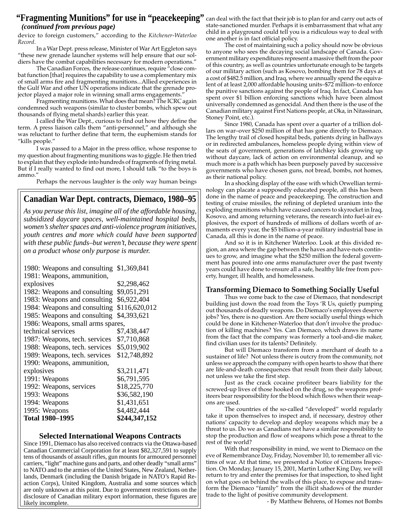### "**Fragmenting Munitions" for use in "peacekeeping"** can deal with the fact that their job is to plan for and carry out acts of *(continued from previous page)*

device to foreign customers," according to the *Kitchener-Waterloo Record*.

In a War Dept. press release, Minister of War Art Eggleton says "these new grenade launcher systems will help ensure that our soldiers have the combat capabilities necessary for modern operations."

The Canadian Forces, the release continues, require "close combat function [that] requires the capability to use a complementary mix of small arms fire and fragmenting munitions...Allied experiences in the Gulf War and other UN operations indicate that the grenade projector played a major role in winning small arms engagements."

Fragmenting munitions. What does that mean? The ICRC again condemned such weapons (similar to cluster bombs, which spew out thousands of flying metal shards) earlier this year.

I called the War Dept., curious to find out how they define the term. A press liaison calls them "anti-personnel," and although she was reluctant to further define that term, the euphemism stands for "kills people."

I was passed to a Major in the press office, whose response to my question about fragmenting munitions was to giggle. He then tried to explain that they explode into hundreds of fragments of flying metal. But if I really wanted to find out more, I should talk "to the boys is ammo."

Perhaps the nervous laughter is the only way human beings

## **Canadian War Dept. contracts, Diemaco, 1980–95**

*As you peruse this list, imagine all of the affordable housing, subsidized daycare spaces, well-maintained hospital beds, women's shelter spaces and anti-violence program initiatives, youth centres and more which could have been supported with these public funds–but weren't, because they were spent on a product whose only purpose is murder.*

| 1980: Weapons and consulting      | \$1,369,841   |
|-----------------------------------|---------------|
| 1981: Weapons, ammunition,        |               |
| explosives                        | \$2,298,462   |
| 1982: Weapons and consulting      | \$9,051,291   |
| 1983: Weapons and consulting      | \$6,922,404   |
| 1984: Weapons and consulting      | \$116,620,012 |
| 1985: Weapons and consulting      | \$4,393,621   |
| 1986: Weapons, small arms spares, |               |
| technical services                | \$7,438,447   |
| 1987: Weapons, tech. services     | \$7,710,868   |
| 1988: Weapons, tech. services     | \$5,019,902   |
| 1989: Weapons, tech. services     | \$12,748,892  |
| 1990: Weapons, ammunition,        |               |
| explosives                        | \$3,211,471   |
| 1991: Weapons                     | \$6,791,595   |
| 1992: Weapons, services           | \$18,225,770  |
| 1993: Weapons                     | \$36,582,190  |
| 1994: Weapons                     | \$1,431,651   |
| 1995: Weapons                     | \$4,482,444   |
| <b>Total 1980–1995</b>            | \$244,347,152 |

#### **Selected International Weapons Contracts**

Since 1991, Diemaco has also received contracts via the Ottawa-based Canadian Commercial Corporation for at least \$82,327,591 to supply tens of thousands of assault rifles, gun mounts for armoured personnel carriers, "light" machine guns and parts, and other deadly "small arms" to NATO and to the armies of the United States, New Zealand, Netherlands, Denmark (including the Danish brigade in NATO's Rapid Reaction Corps), United Kingdom, Australia and some sources which are only unknown at this point. Due to government restrictions on the disclosure of Canadian military export information, these figures are likely incomplete.

state-sanctioned murder. Perhaps it is embarrassment that what any child in a playground could tell you is a ridiculous way to deal with one another is in fact official policy.

The cost of maintaining such a policy should now be obvious to anyone who sees the decaying social landscape of Canada. Government military expenditures represent a massive theft from the poor of this country, as well as countries unfortunate enough to be targets of our military action (such as Kosovo, bombing them for 78 days at a cost of \$482.5 million, and Iraq, where we annually spend the equivalent of at least 2,000 affordable housing units–\$72 million–to enforce the punitive sanctions against the people of Iraq. In fact, Canada has spent over \$1 billion enforcing sanctions which have been almost universally condemned as genocidal. And then there is the use of the Canadian military against First Nations people, at Oka, in Nitassinan, Stoney Point, etc.).

Since 1980, Canada has spent over a quarter of a trillion dollars on war–over \$250 million of that has gone directly to Diemaco. The lengthy trail of closed hospital beds, patients dying in hallways or in redirected ambulances, homeless people dying within view of the seats of government, generations of latchkey kids growing up without daycare, lack of action on environmental cleanup, and so much more is a path which has been purposely paved by successive governments who have chosen guns, not bread, bombs, not homes, as their national policy.

In a shocking display of the ease with which Orwellian terminology can placate a supposedly educated people, all this has been done in the name of peace and peacekeeping. The construction and testing of cruise missiles, the refining of depleted uranium into the exploding munitions which have caused cancers to skyrocket in Iraq, Kosovo, and among returning veterans, the research into fuel-air explosives, the export of hundreds of millions of dollars worth of armaments every year, the \$5 billion-a-year military industrial base in Canada, all this is done in the name of peace.

And so it is in Kitchener Waterloo. Look at this divided region, an area where the gap between the haves and have-nots continues to grow, and imagine what the \$250 million the federal government has poured into one arms manufacturer over the past twenty years could have done to ensure all a safe, healthy life free from poverty, hunger, ill health, and homelessness.

#### **Transforming Diemaco to Something Socially Useful**

Thus we come back to the case of Diemaco, that nondescript building just down the road from the Toys 'R Us, quietly pumping out thousands of deadly weapons. Do Diemaco's employees deserve jobs? Yes, there is no question. Are there socially useful things which could be done in Kitchener-Waterloo that don't involve the production of killing machines? Yes. Can Diemaco, which draws its name from the fact that the company was formerly a tool-and-die maker, find civilian uses for its talents? Definitely.

But will Diemaco transform from a merchant of death to a sustainer of life? Not unless there is outcry from the community, not unless we approach the company with open hearts to show that there are life-and-death consequences that result from their daily labour, not unless we take the first step.

Just as the crack cocaine profiteer bears liability for the screwed-up lives of those hooked on the drug, so the weapons profiteers bear responsibility for the blood which flows when their weapons are used.

The countries of the so-called "developed" world regularly take it upon themselves to inspect and, if necessary, destroy other nations' capacity to develop and deploy weapons which may be a threat to us. Do we as Canadians not have a similar responsibility to stop the production and flow of weapons which pose a threat to the rest of the world?

With that responsibility in mind, we went to Diemaco on the eve of Remembrance Day, Friday, November 10, to remember all victims of war. At that time, we presented a Notice of Citizens Inspection. On Monday, January 15, 2001, Martin Luther King Day, we will return to try and enter the premises for that inspection, to shed light on what goes on behind the walls of this place, to expose and transform the Diemaco "family" from the illicit shadows of the murder trade to the light of positive community development.

- By Matthew Behrens, of Homes not Bombs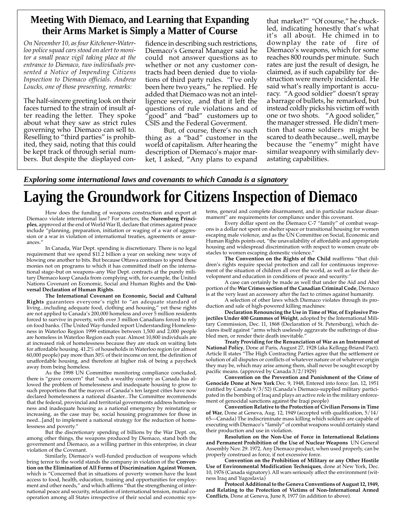## **Meeting With Diemaco, and Learning that Expanding their Arms Market is Simply a Matter of Course**

*On November 10, as four Kitchener-Waterloo police squad cars stood on alert to monitor a small peace vigil taking place at the entrance to Diemaco, two individuals presented a Notice of Impending Citizens Inpsection to Diemaco officials. Andrew Loucks, one of those presenting, remarks:*

The half-sincere greeting look on their faces turned to the strain of insult after reading the letter. They spoke about what they saw as strict rules governing who Diemaco can sell to. Reselling to "third parties" is prohibited, they said, noting that this could be kept track of through serial numbers. But despite the displayed con-

fidence in describing such restrictions, Diemaco's General Manager said he could not answer questions as to whether or not any customer contracts had been denied due to violations of third party rules. "I've only been here two years," he replied. He added that Diemaco was not an intelligence service, and that it left the questions of rule violations and of "good" and "bad" customers up to CSIS and the Federal Goverment.

But, of course, there's no such thing as a "bad" customer in the world of capitalism. After hearing the description of Diemaco's major market, I asked, "Any plans to expand

that market?" "Of course," he chuckled, indicating honestly that's what it's all about. He chimed in to downplay the rate of fire of Diemaco's weapons, which for some reaches 800 rounds per minute. Such rates are just the result of design, he claimed, as if such capability for destruction were merely incidental. He said what's really important is accuracy. "A good soldier" doesn't spray a barrage of bullets, he remarked, but instead coldly picks his victim off with one or two shots. "A good solider," the manager stressed. He didn't mention that some soldiers might be scared to death because...well, maybe because the "enemy" might have similar weaponry with similarly devastating capabilities.

*Exploring some international laws and covenants to which Canada is a signatory*

# **Laying the Groundwork for Citizens Inspection of Diemaco**

How does the funding of weapons construction and export at Diemaco violate international law? For starters, the **Nuremberg Principles**, approved at the end of World War II, declare that crimes against peace include "planning, preparation, initiation or waging of a war of aggression or a war in violation of internatiomal treaties, agreements or assurances."

In Canada, War Dept. spending is discretionary. There is no legal requirement that we spend \$11.2 billion a year on seeking new ways of blowing one another to bits. But because Ottawa continues to spend these monies not on programs to which it has committed itself on the international stage–but on weapons–any War Dept. contracts at the purely military Diemaco keep Canada from complying with, for example, the United Nations Covenant on Economic, Social and Human Rights and the **Universal Declaration of Human Rights**.

**The International Covenant on Economic, Social and Cultural Rights** guarantees everyone's right to "an adequate standard of living...including adequate food, clothing and housing," yet these rights are not applied to Canada's 200,000 homeless and over 5 million residents forced to survive in poverty, with over 3 million Canadians forced to rely on food banks. (The United Way-funded report Understanding Homelessness in Waterloo Region 1999 estimates between 1,500 and 2,000 people are homeless in Waterloo Region each year. Almost 10,800 individuals are at increased risk of homelessness because they are stuck on waiting lists for affordable housing. 41.2% of households in Waterloo region (or almost 60,000 people) pay more than 30% of their income on rent, the definition of unaffordable housing, and therefore at higher risk of being a paycheck away from being homeless.

As the 1998 UN Committee monitoring compliance concluded, there is "grave concern" that "such a wealthy country as Canada has allowed the problem of homelessness and inadequate housing to grow to such proportions that the mayors of Canada's ten largest cities have now declared homelessness a national disaster...The Committee recommends that the federal, provincial and territorial governments address homelessness and inadequate housing as a national emergency by reinstating or increasing, as the case may be, social housing programmes for those in need...[and] to implement a national strategy for the reduction of homelessness and poverty."

But the discretionary spending of billions by the War Dept. on, among other things, the weapons produced by Diemaco, stand both the government and Diemaco, as a willing partner in this enterprise, in clear violation of the Covenant.

Similarly, Diemaco's well-funded production of weapons which bring terror to the world stands the company in violation of the **Convention on the Elimination of All Forms of Discrimination Against Women**, which is "Concerned that in situations of poverty women have the least access to food, health, education, training and opportunities for employment and other needs," and which affirms "that the strengthening of international peace and security, relaxation of international tension, mutual cooperation among all States irrespective of their social and economic systems, general and complete disarmament, and in particular nuclear disarmament" are requirements for compliance under this covenant.

Every dollar spent on the Diemaco C-7 "family" of combat weapons is a dollar not spent on shelter space or transitional housing for women escaping male violence, and as the UN Committee on Social, Economic and Human Rights points out, "the unavailability of affordable and appropriate housing and widespread discrimination with respect to women create obstacles to women escaping domestic violence."

**The Convention on the Rights of the Child** reaffirms "that children's rights require special protection and call for continuous improvement of the situation of children all over the world, as well as for their development and education in conditions of peace and security."

A case can certainly be made as well that under the Aid and Abet portion of the **War Crimes section of the Canadian Criminal Code**, Diemaco is at the very least an accessory after the fact to crimes against humanity.

A selection of other laws which Diemaco violates through its production and sale of high-powered killing machines:

**Declaration Renouncing the Use in Time of War, of Explosive Projectiles Under 400 Grammes of Weight**, adopted by the International Military Commission, Dec. 11, 1868 (Declaration of St. Petersburg), which declares itself against "arms which uselessly aggravate the sufferings of disabled men, or render their death inevitable.'

**Treaty Providing for the Renunciation of War as an Instrument of National Policy**, Done at Paris, August 27, 1928 (aka Kellogg-Briand Pact). Article II states "The High Contracting Parties agree that the settlement or solution of all disputes or conflicts of whatever nature or of whatever origin they may be, which may arise among them, shall never be sought except by pacific means. (approved by Canada 3/2/1929)

**Convention on the Prevention and Punishment of the Crime of Genocide Done at New York** Dec. 9, 1948, Entered into force: Jan. 12, 1951 (ratified by Canada 9/3/52) (Canada's Diemaco-supplied military participated in the bombing of Iraq and plays an active role in the military enforcement of genocidal sanctions against the Iraqi people)

**Convention Relative to the Protection of Civilian Persons in Time of War**, Done at Geneva, Aug. 12, 1949 (accepted with qualification, 5/14/ 65—Canada) The indiscriminate mass killing which soldiers are capable of executing with Diemaco's "family" of combat weapons would certainly stand their production and use in violation.

**Resolution on the Non-Use of Force in International Relations and Permanent Prohibition of the Use of Nuclear Weapons** UN General Assembly Nov. 29. 1972. Any Diemaco product, when used properly, can be properly construed as force, if not excessive force.

**Convention on the Prohibition of Military or any Other Hostile Use of Environmental Modification Techniques**, done at New York, Dec. 10, 1976 (Canada signatory). All wars seriously affect the environment (witness Iraq and Yugoslavia)

**Protocol Additional to the Geneva Conventions of August 12, 1949, and Relating to the Protection of Victims of Non-International Armed Conflicts**, Done at Geneva, June 8, 1977 (in addition to above).